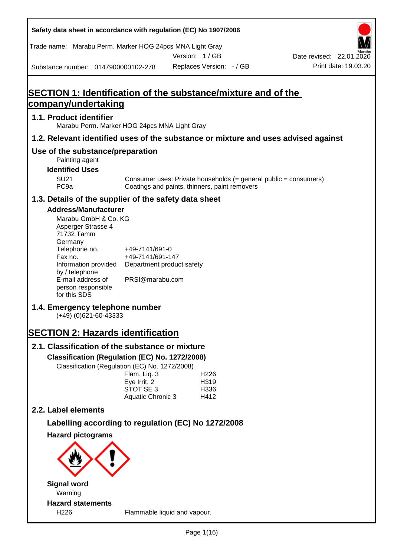| Safety data sheet in accordance with regulation (EC) No 1907/2006                           |                                                                                              |                          |                          |  |                          |  |  |  |  |
|---------------------------------------------------------------------------------------------|----------------------------------------------------------------------------------------------|--------------------------|--------------------------|--|--------------------------|--|--|--|--|
| Trade name: Marabu Perm. Marker HOG 24pcs MNA Light Gray                                    |                                                                                              |                          |                          |  |                          |  |  |  |  |
|                                                                                             |                                                                                              | Version: 1/GB            |                          |  | Date revised: 22.01.2020 |  |  |  |  |
| Substance number: 0147900000102-278                                                         |                                                                                              | Replaces Version: - / GB |                          |  | Print date: 19.03.20     |  |  |  |  |
|                                                                                             |                                                                                              |                          |                          |  |                          |  |  |  |  |
| <b>SECTION 1: Identification of the substance/mixture and of the</b><br>company/undertaking |                                                                                              |                          |                          |  |                          |  |  |  |  |
| 1.1. Product identifier                                                                     |                                                                                              |                          |                          |  |                          |  |  |  |  |
| Marabu Perm. Marker HOG 24pcs MNA Light Gray                                                |                                                                                              |                          |                          |  |                          |  |  |  |  |
| 1.2. Relevant identified uses of the substance or mixture and uses advised against          |                                                                                              |                          |                          |  |                          |  |  |  |  |
| Use of the substance/preparation<br>Painting agent                                          |                                                                                              |                          |                          |  |                          |  |  |  |  |
| <b>SU21</b>                                                                                 | <b>Identified Uses</b><br>Consumer uses: Private households $(=$ general public = consumers) |                          |                          |  |                          |  |  |  |  |
| PC <sub>9a</sub>                                                                            | Coatings and paints, thinners, paint removers                                                |                          |                          |  |                          |  |  |  |  |
| 1.3. Details of the supplier of the safety data sheet                                       |                                                                                              |                          |                          |  |                          |  |  |  |  |
| <b>Address/Manufacturer</b>                                                                 |                                                                                              |                          |                          |  |                          |  |  |  |  |
| Marabu GmbH & Co. KG<br>Asperger Strasse 4<br>71732 Tamm                                    |                                                                                              |                          |                          |  |                          |  |  |  |  |
| Germany<br>Telephone no.                                                                    | +49-7141/691-0                                                                               |                          |                          |  |                          |  |  |  |  |
| Fax no.                                                                                     | +49-7141/691-147                                                                             |                          |                          |  |                          |  |  |  |  |
| Information provided<br>by / telephone                                                      | Department product safety                                                                    |                          |                          |  |                          |  |  |  |  |
| E-mail address of<br>person responsible<br>for this SDS                                     | PRSI@marabu.com                                                                              |                          |                          |  |                          |  |  |  |  |
| 1.4. Emergency telephone number<br>(+49) (0)621-60-43333                                    |                                                                                              |                          |                          |  |                          |  |  |  |  |
| <b>SECTION 2: Hazards identification</b>                                                    |                                                                                              |                          |                          |  |                          |  |  |  |  |
| 2.1. Classification of the substance or mixture                                             |                                                                                              |                          |                          |  |                          |  |  |  |  |
| Classification (Regulation (EC) No. 1272/2008)                                              |                                                                                              |                          |                          |  |                          |  |  |  |  |
| Classification (Regulation (EC) No. 1272/2008)                                              |                                                                                              |                          |                          |  |                          |  |  |  |  |
|                                                                                             | Flam. Liq. 3<br>Eye Irrit. 2                                                                 |                          | H <sub>226</sub><br>H319 |  |                          |  |  |  |  |
|                                                                                             | STOT SE 3                                                                                    |                          | H336                     |  |                          |  |  |  |  |
| 2.2. Label elements                                                                         | Aquatic Chronic 3                                                                            |                          | H412                     |  |                          |  |  |  |  |
|                                                                                             |                                                                                              |                          |                          |  |                          |  |  |  |  |
| Labelling according to regulation (EC) No 1272/2008                                         |                                                                                              |                          |                          |  |                          |  |  |  |  |
| <b>Hazard pictograms</b>                                                                    |                                                                                              |                          |                          |  |                          |  |  |  |  |
| <b>Signal word</b>                                                                          |                                                                                              |                          |                          |  |                          |  |  |  |  |
| Warning                                                                                     |                                                                                              |                          |                          |  |                          |  |  |  |  |
| <b>Hazard statements</b>                                                                    |                                                                                              |                          |                          |  |                          |  |  |  |  |

٦

H226 Flammable liquid and vapour.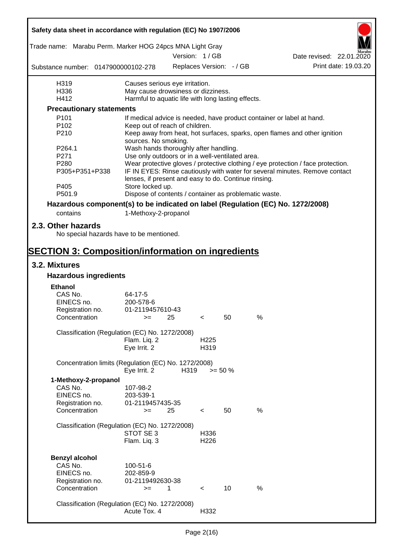| Safety data sheet in accordance with regulation (EC) No 1907/2006               |                                                       |                                                                                                                                     |                          |                          |      |                                                                                  |  |  |  |
|---------------------------------------------------------------------------------|-------------------------------------------------------|-------------------------------------------------------------------------------------------------------------------------------------|--------------------------|--------------------------|------|----------------------------------------------------------------------------------|--|--|--|
| Trade name: Marabu Perm. Marker HOG 24pcs MNA Light Gray                        |                                                       |                                                                                                                                     |                          |                          |      |                                                                                  |  |  |  |
|                                                                                 |                                                       |                                                                                                                                     | Version: 1 / GB          |                          |      | Date revised: 22.01.2020                                                         |  |  |  |
| Substance number: 0147900000102-278                                             |                                                       |                                                                                                                                     |                          | Replaces Version: - / GB |      | Print date: 19.03.20                                                             |  |  |  |
| H319                                                                            | Causes serious eye irritation.                        |                                                                                                                                     |                          |                          |      |                                                                                  |  |  |  |
| H336                                                                            | May cause drowsiness or dizziness.                    |                                                                                                                                     |                          |                          |      |                                                                                  |  |  |  |
| H412                                                                            | Harmful to aquatic life with long lasting effects.    |                                                                                                                                     |                          |                          |      |                                                                                  |  |  |  |
| <b>Precautionary statements</b>                                                 |                                                       |                                                                                                                                     |                          |                          |      |                                                                                  |  |  |  |
| P <sub>101</sub>                                                                |                                                       |                                                                                                                                     |                          |                          |      | If medical advice is needed, have product container or label at hand.            |  |  |  |
| P102                                                                            | Keep out of reach of children.                        |                                                                                                                                     |                          |                          |      |                                                                                  |  |  |  |
| P210                                                                            | sources. No smoking.                                  |                                                                                                                                     |                          |                          |      | Keep away from heat, hot surfaces, sparks, open flames and other ignition        |  |  |  |
| P264.1                                                                          | Wash hands thoroughly after handling.                 |                                                                                                                                     |                          |                          |      |                                                                                  |  |  |  |
| P271                                                                            | Use only outdoors or in a well-ventilated area.       |                                                                                                                                     |                          |                          |      |                                                                                  |  |  |  |
| P280                                                                            |                                                       |                                                                                                                                     |                          |                          |      | Wear protective gloves / protective clothing / eye protection / face protection. |  |  |  |
| P305+P351+P338                                                                  |                                                       | IF IN EYES: Rinse cautiously with water for several minutes. Remove contact<br>lenses, if present and easy to do. Continue rinsing. |                          |                          |      |                                                                                  |  |  |  |
| P405<br>P501.9                                                                  | Store locked up.                                      |                                                                                                                                     |                          |                          |      |                                                                                  |  |  |  |
|                                                                                 | Dispose of contents / container as problematic waste. |                                                                                                                                     |                          |                          |      |                                                                                  |  |  |  |
| Hazardous component(s) to be indicated on label (Regulation (EC) No. 1272/2008) |                                                       |                                                                                                                                     |                          |                          |      |                                                                                  |  |  |  |
| contains                                                                        | 1-Methoxy-2-propanol                                  |                                                                                                                                     |                          |                          |      |                                                                                  |  |  |  |
| 2.3. Other hazards<br>No special hazards have to be mentioned.                  |                                                       |                                                                                                                                     |                          |                          |      |                                                                                  |  |  |  |
| <b>SECTION 3: Composition/information on ingredients</b>                        |                                                       |                                                                                                                                     |                          |                          |      |                                                                                  |  |  |  |
| 3.2. Mixtures                                                                   |                                                       |                                                                                                                                     |                          |                          |      |                                                                                  |  |  |  |
| <b>Hazardous ingredients</b>                                                    |                                                       |                                                                                                                                     |                          |                          |      |                                                                                  |  |  |  |
| <b>Ethanol</b>                                                                  |                                                       |                                                                                                                                     |                          |                          |      |                                                                                  |  |  |  |
| CAS No.                                                                         | 64-17-5                                               |                                                                                                                                     |                          |                          |      |                                                                                  |  |  |  |
| EINECS no.                                                                      | 200-578-6                                             |                                                                                                                                     |                          |                          |      |                                                                                  |  |  |  |
| Registration no.                                                                | 01-2119457610-43                                      |                                                                                                                                     |                          |                          |      |                                                                                  |  |  |  |
| Concentration                                                                   | $>=$ 25                                               |                                                                                                                                     | $\epsilon$               | 50                       | %    |                                                                                  |  |  |  |
|                                                                                 |                                                       |                                                                                                                                     |                          |                          |      |                                                                                  |  |  |  |
| Classification (Regulation (EC) No. 1272/2008)                                  |                                                       |                                                                                                                                     |                          |                          |      |                                                                                  |  |  |  |
|                                                                                 | Flam. Liq. 2                                          |                                                                                                                                     | H <sub>225</sub>         |                          |      |                                                                                  |  |  |  |
|                                                                                 | Eye Irrit. 2                                          |                                                                                                                                     | H319                     |                          |      |                                                                                  |  |  |  |
| Concentration limits (Regulation (EC) No. 1272/2008)                            | Eye Irrit. 2                                          | H319                                                                                                                                |                          | $>= 50 \%$               |      |                                                                                  |  |  |  |
| 1-Methoxy-2-propanol                                                            |                                                       |                                                                                                                                     |                          |                          |      |                                                                                  |  |  |  |
| CAS No.                                                                         | 107-98-2                                              |                                                                                                                                     |                          |                          |      |                                                                                  |  |  |  |
| EINECS no.                                                                      | 203-539-1                                             |                                                                                                                                     |                          |                          |      |                                                                                  |  |  |  |
| Registration no.                                                                | 01-2119457435-35                                      |                                                                                                                                     |                          |                          |      |                                                                                  |  |  |  |
| Concentration                                                                   | $>=$                                                  | 25                                                                                                                                  | $\,<\,$                  | 50                       | $\%$ |                                                                                  |  |  |  |
|                                                                                 |                                                       |                                                                                                                                     |                          |                          |      |                                                                                  |  |  |  |
| Classification (Regulation (EC) No. 1272/2008)                                  |                                                       |                                                                                                                                     |                          |                          |      |                                                                                  |  |  |  |
|                                                                                 | STOT SE 3<br>Flam. Liq. 3                             |                                                                                                                                     | H336<br>H <sub>226</sub> |                          |      |                                                                                  |  |  |  |
|                                                                                 |                                                       |                                                                                                                                     |                          |                          |      |                                                                                  |  |  |  |
| <b>Benzyl alcohol</b>                                                           |                                                       |                                                                                                                                     |                          |                          |      |                                                                                  |  |  |  |
| CAS No.                                                                         | 100-51-6                                              |                                                                                                                                     |                          |                          |      |                                                                                  |  |  |  |
| EINECS no.                                                                      | 202-859-9                                             |                                                                                                                                     |                          |                          |      |                                                                                  |  |  |  |
| Registration no.                                                                | 01-2119492630-38                                      |                                                                                                                                     |                          |                          |      |                                                                                  |  |  |  |
| Concentration                                                                   | $>=$                                                  | 1                                                                                                                                   | $\prec$                  | 10                       | %    |                                                                                  |  |  |  |
|                                                                                 |                                                       |                                                                                                                                     |                          |                          |      |                                                                                  |  |  |  |
| Classification (Regulation (EC) No. 1272/2008)                                  |                                                       |                                                                                                                                     |                          |                          |      |                                                                                  |  |  |  |
|                                                                                 | Acute Tox. 4                                          |                                                                                                                                     | H332                     |                          |      |                                                                                  |  |  |  |
|                                                                                 |                                                       |                                                                                                                                     |                          |                          |      |                                                                                  |  |  |  |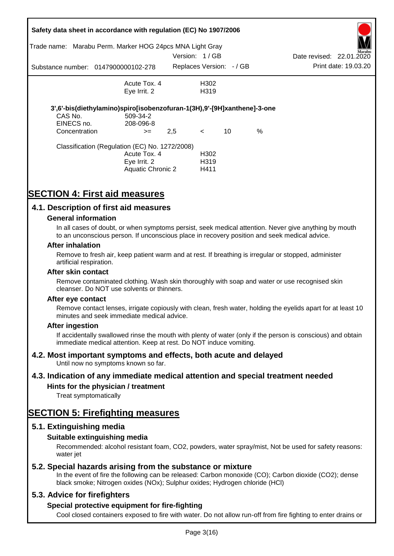| Trade name:   | Safety data sheet in accordance with regulation (EC) No 1907/2006<br>Marabu Perm. Marker HOG 24pcs MNA Light Gray |                 |                          |    |      |                          |                      |
|---------------|-------------------------------------------------------------------------------------------------------------------|-----------------|--------------------------|----|------|--------------------------|----------------------|
|               |                                                                                                                   | Version: 1 / GB |                          |    |      | Date revised: 22.01.2020 | Marabu               |
|               | Substance number: 0147900000102-278                                                                               |                 | Replaces Version: - / GB |    |      |                          | Print date: 19.03.20 |
|               | Acute Tox. 4                                                                                                      |                 | H302                     |    |      |                          |                      |
|               | Eye Irrit. 2                                                                                                      |                 | H <sub>3</sub> 19        |    |      |                          |                      |
|               | 3',6'-bis(diethylamino)spiro[isobenzofuran-1(3H),9'-[9H]xanthene]-3-one                                           |                 |                          |    |      |                          |                      |
| CAS No.       | 509-34-2                                                                                                          |                 |                          |    |      |                          |                      |
| EINECS no.    | 208-096-8                                                                                                         |                 |                          |    |      |                          |                      |
| Concentration | $>=$                                                                                                              | 2,5             | $\lt$                    | 10 | $\%$ |                          |                      |
|               | Classification (Regulation (EC) No. 1272/2008)                                                                    |                 |                          |    |      |                          |                      |
|               | Acute Tox. 4                                                                                                      |                 | H <sub>302</sub>         |    |      |                          |                      |
|               | Eye Irrit. 2                                                                                                      |                 | H <sub>3</sub> 19        |    |      |                          |                      |
|               | Aquatic Chronic 2                                                                                                 |                 | H411                     |    |      |                          |                      |

# **SECTION 4: First aid measures**

## **4.1. Description of first aid measures**

### **General information**

In all cases of doubt, or when symptoms persist, seek medical attention. Never give anything by mouth to an unconscious person. If unconscious place in recovery position and seek medical advice.

#### **After inhalation**

Remove to fresh air, keep patient warm and at rest. If breathing is irregular or stopped, administer artificial respiration.

#### **After skin contact**

Remove contaminated clothing. Wash skin thoroughly with soap and water or use recognised skin cleanser. Do NOT use solvents or thinners.

#### **After eye contact**

Remove contact lenses, irrigate copiously with clean, fresh water, holding the eyelids apart for at least 10 minutes and seek immediate medical advice.

#### **After ingestion**

If accidentally swallowed rinse the mouth with plenty of water (only if the person is conscious) and obtain immediate medical attention. Keep at rest. Do NOT induce vomiting.

## **4.2. Most important symptoms and effects, both acute and delayed**

Until now no symptoms known so far.

## **4.3. Indication of any immediate medical attention and special treatment needed**

## **Hints for the physician / treatment**

Treat symptomatically

## **SECTION 5: Firefighting measures**

## **5.1. Extinguishing media**

## **Suitable extinguishing media**

Recommended: alcohol resistant foam, CO2, powders, water spray/mist, Not be used for safety reasons: water *iet* 

## **5.2. Special hazards arising from the substance or mixture**

In the event of fire the following can be released: Carbon monoxide (CO); Carbon dioxide (CO2); dense black smoke; Nitrogen oxides (NOx); Sulphur oxides; Hydrogen chloride (HCl)

## **5.3. Advice for firefighters**

## **Special protective equipment for fire-fighting**

Cool closed containers exposed to fire with water. Do not allow run-off from fire fighting to enter drains or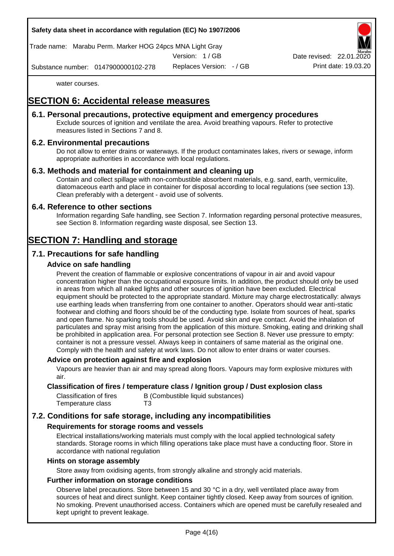

Trade name: Marabu Perm. Marker HOG 24pcs MNA Light Gray

Version: 1 / GB

Replaces Version: - / GB Print date: 19.03.20 Date revised: 22.01.

Substance number: 0147900000102-278

water courses.

# **SECTION 6: Accidental release measures**

## **6.1. Personal precautions, protective equipment and emergency procedures**

Exclude sources of ignition and ventilate the area. Avoid breathing vapours. Refer to protective measures listed in Sections 7 and 8.

## **6.2. Environmental precautions**

Do not allow to enter drains or waterways. If the product contaminates lakes, rivers or sewage, inform appropriate authorities in accordance with local regulations.

## **6.3. Methods and material for containment and cleaning up**

Contain and collect spillage with non-combustible absorbent materials, e.g. sand, earth, vermiculite, diatomaceous earth and place in container for disposal according to local regulations (see section 13). Clean preferably with a detergent - avoid use of solvents.

## **6.4. Reference to other sections**

Information regarding Safe handling, see Section 7. Information regarding personal protective measures, see Section 8. Information regarding waste disposal, see Section 13.

# **SECTION 7: Handling and storage**

## **7.1. Precautions for safe handling**

## **Advice on safe handling**

Prevent the creation of flammable or explosive concentrations of vapour in air and avoid vapour concentration higher than the occupational exposure limits. In addition, the product should only be used in areas from which all naked lights and other sources of ignition have been excluded. Electrical equipment should be protected to the appropriate standard. Mixture may charge electrostatically: always use earthing leads when transferring from one container to another. Operators should wear anti-static footwear and clothing and floors should be of the conducting type. Isolate from sources of heat, sparks and open flame. No sparking tools should be used. Avoid skin and eye contact. Avoid the inhalation of particulates and spray mist arising from the application of this mixture. Smoking, eating and drinking shall be prohibited in application area. For personal protection see Section 8. Never use pressure to empty: container is not a pressure vessel. Always keep in containers of same material as the original one. Comply with the health and safety at work laws. Do not allow to enter drains or water courses.

## **Advice on protection against fire and explosion**

Vapours are heavier than air and may spread along floors. Vapours may form explosive mixtures with air.

## **Classification of fires / temperature class / Ignition group / Dust explosion class**

| Classification of fires | B (Combustible liquid substances) |
|-------------------------|-----------------------------------|
| Temperature class       | T3                                |

## **7.2. Conditions for safe storage, including any incompatibilities**

## **Requirements for storage rooms and vessels**

Electrical installations/working materials must comply with the local applied technological safety standards. Storage rooms in which filling operations take place must have a conducting floor. Store in accordance with national regulation

#### **Hints on storage assembly**

Store away from oxidising agents, from strongly alkaline and strongly acid materials.

## **Further information on storage conditions**

Observe label precautions. Store between 15 and 30 °C in a dry, well ventilated place away from sources of heat and direct sunlight. Keep container tightly closed. Keep away from sources of ignition. No smoking. Prevent unauthorised access. Containers which are opened must be carefully resealed and kept upright to prevent leakage.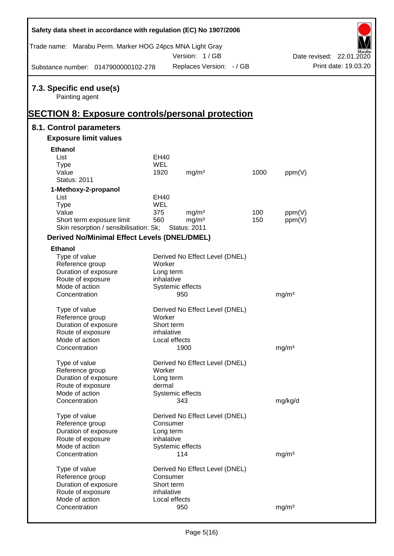| Safety data sheet in accordance with regulation (EC) No 1907/2006 |             |                                |      |                   |                          |
|-------------------------------------------------------------------|-------------|--------------------------------|------|-------------------|--------------------------|
| Trade name: Marabu Perm. Marker HOG 24pcs MNA Light Gray          |             |                                |      |                   |                          |
|                                                                   |             | Version: 1/GB                  |      |                   | Date revised: 22.01.2020 |
| Substance number: 0147900000102-278                               |             | Replaces Version: - / GB       |      |                   | Print date: 19.03.20     |
| 7.3. Specific end use(s)<br>Painting agent                        |             |                                |      |                   |                          |
| <b>SECTION 8: Exposure controls/personal protection</b>           |             |                                |      |                   |                          |
| 8.1. Control parameters                                           |             |                                |      |                   |                          |
| <b>Exposure limit values</b>                                      |             |                                |      |                   |                          |
| <b>Ethanol</b>                                                    |             |                                |      |                   |                          |
| List                                                              | EH40        |                                |      |                   |                          |
| <b>Type</b>                                                       | WEL         |                                |      |                   |                          |
| Value                                                             | 1920        | mg/m <sup>3</sup>              | 1000 | ppm(V)            |                          |
| <b>Status: 2011</b>                                               |             |                                |      |                   |                          |
| 1-Methoxy-2-propanol                                              |             |                                |      |                   |                          |
| List                                                              | <b>EH40</b> |                                |      |                   |                          |
| <b>Type</b>                                                       | WEL         |                                |      |                   |                          |
| Value                                                             | 375         | mg/m <sup>3</sup>              | 100  | ppm(V)            |                          |
| Short term exposure limit                                         | 560         | mg/m <sup>3</sup>              | 150  | ppm(V)            |                          |
| Skin resorption / sensibilisation: Sk;                            |             | <b>Status: 2011</b>            |      |                   |                          |
| <b>Derived No/Minimal Effect Levels (DNEL/DMEL)</b>               |             |                                |      |                   |                          |
| <b>Ethanol</b>                                                    |             |                                |      |                   |                          |
| Type of value                                                     |             | Derived No Effect Level (DNEL) |      |                   |                          |
| Reference group                                                   | Worker      |                                |      |                   |                          |
| Duration of exposure                                              | Long term   |                                |      |                   |                          |
| Route of exposure                                                 | inhalative  |                                |      |                   |                          |
| Mode of action                                                    |             | Systemic effects               |      |                   |                          |
| Concentration                                                     |             | 950                            |      | mg/m <sup>3</sup> |                          |
| Type of value                                                     |             | Derived No Effect Level (DNEL) |      |                   |                          |
| Reference group                                                   | Worker      |                                |      |                   |                          |
| Duration of exposure                                              | Short term  |                                |      |                   |                          |
| Route of exposure                                                 | inhalative  |                                |      |                   |                          |
| Mode of action                                                    |             | Local effects                  |      |                   |                          |
| Concentration                                                     |             | 1900                           |      | mg/m <sup>3</sup> |                          |
|                                                                   |             |                                |      |                   |                          |
| Type of value                                                     |             | Derived No Effect Level (DNEL) |      |                   |                          |
| Reference group                                                   | Worker      |                                |      |                   |                          |
| Duration of exposure                                              | Long term   |                                |      |                   |                          |
| Route of exposure                                                 | dermal      |                                |      |                   |                          |
| Mode of action                                                    |             | Systemic effects               |      |                   |                          |
| Concentration                                                     |             | 343                            |      | mg/kg/d           |                          |
| Type of value                                                     |             | Derived No Effect Level (DNEL) |      |                   |                          |
| Reference group                                                   | Consumer    |                                |      |                   |                          |
| Duration of exposure                                              | Long term   |                                |      |                   |                          |
| Route of exposure                                                 | inhalative  |                                |      |                   |                          |
| Mode of action                                                    |             | Systemic effects               |      |                   |                          |
| Concentration                                                     |             | 114                            |      | mg/m <sup>3</sup> |                          |
|                                                                   |             |                                |      |                   |                          |
| Type of value                                                     |             | Derived No Effect Level (DNEL) |      |                   |                          |
| Reference group                                                   | Consumer    |                                |      |                   |                          |
| Duration of exposure                                              | Short term  |                                |      |                   |                          |
| Route of exposure                                                 | inhalative  |                                |      |                   |                          |
| Mode of action                                                    |             | Local effects                  |      |                   |                          |
| Concentration                                                     |             | 950                            |      | mg/m <sup>3</sup> |                          |

Ī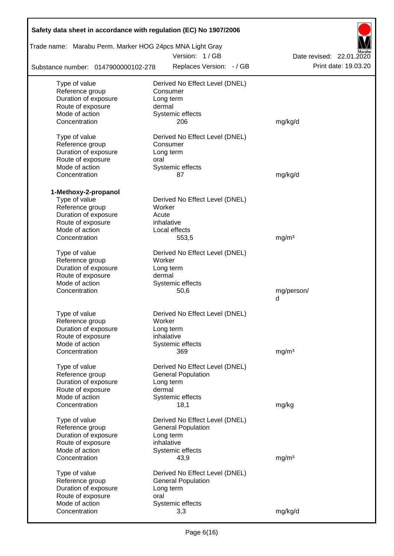|                                                          | Safety data sheet in accordance with regulation (EC) No 1907/2006 |                                                  |
|----------------------------------------------------------|-------------------------------------------------------------------|--------------------------------------------------|
| Trade name: Marabu Perm. Marker HOG 24pcs MNA Light Gray | Version: 1/GB                                                     |                                                  |
| Substance number: 0147900000102-278                      | Replaces Version: - / GB                                          | Date revised: 22.01.2020<br>Print date: 19.03.20 |
| Type of value                                            | Derived No Effect Level (DNEL)                                    |                                                  |
| Reference group                                          | Consumer                                                          |                                                  |
| Duration of exposure                                     | Long term                                                         |                                                  |
| Route of exposure                                        | dermal                                                            |                                                  |
| Mode of action                                           | Systemic effects                                                  |                                                  |
| Concentration                                            | 206                                                               | mg/kg/d                                          |
| Type of value                                            | Derived No Effect Level (DNEL)                                    |                                                  |
| Reference group                                          | Consumer                                                          |                                                  |
| Duration of exposure                                     | Long term                                                         |                                                  |
| Route of exposure                                        | oral                                                              |                                                  |
| Mode of action                                           | Systemic effects                                                  |                                                  |
| Concentration                                            | 87                                                                | mg/kg/d                                          |
|                                                          |                                                                   |                                                  |
| 1-Methoxy-2-propanol                                     |                                                                   |                                                  |
| Type of value                                            | Derived No Effect Level (DNEL)                                    |                                                  |
| Reference group                                          | Worker                                                            |                                                  |
| Duration of exposure                                     | Acute                                                             |                                                  |
| Route of exposure                                        | inhalative                                                        |                                                  |
| Mode of action                                           | Local effects                                                     |                                                  |
| Concentration                                            | 553,5                                                             | mg/m <sup>3</sup>                                |
| Type of value                                            | Derived No Effect Level (DNEL)                                    |                                                  |
| Reference group                                          | Worker                                                            |                                                  |
| Duration of exposure                                     | Long term                                                         |                                                  |
| Route of exposure                                        | dermal                                                            |                                                  |
| Mode of action                                           | Systemic effects                                                  |                                                  |
| Concentration                                            | 50,6                                                              | mg/person/                                       |
|                                                          |                                                                   | d                                                |
| Type of value                                            | Derived No Effect Level (DNEL)                                    |                                                  |
| Reference group                                          | Worker                                                            |                                                  |
| Duration of exposure                                     | Long term                                                         |                                                  |
| Route of exposure                                        | inhalative                                                        |                                                  |
| Mode of action                                           | Systemic effects                                                  |                                                  |
| Concentration                                            | 369                                                               | mq/m <sup>3</sup>                                |
|                                                          |                                                                   |                                                  |
| Type of value                                            | Derived No Effect Level (DNEL)                                    |                                                  |
| Reference group                                          | <b>General Population</b>                                         |                                                  |
| Duration of exposure                                     | Long term                                                         |                                                  |
| Route of exposure                                        | dermal                                                            |                                                  |
| Mode of action                                           | Systemic effects                                                  |                                                  |
| Concentration                                            | 18,1                                                              | mg/kg                                            |
| Type of value                                            | Derived No Effect Level (DNEL)                                    |                                                  |
| Reference group                                          | <b>General Population</b>                                         |                                                  |
| Duration of exposure                                     | Long term                                                         |                                                  |
| Route of exposure                                        | inhalative                                                        |                                                  |
| Mode of action                                           | Systemic effects                                                  |                                                  |
| Concentration                                            | 43,9                                                              | mg/m <sup>3</sup>                                |
| Type of value                                            | Derived No Effect Level (DNEL)                                    |                                                  |
| Reference group                                          | <b>General Population</b>                                         |                                                  |
| Duration of exposure                                     | Long term                                                         |                                                  |
| Route of exposure                                        | oral                                                              |                                                  |
| Mode of action                                           | Systemic effects                                                  |                                                  |
| Concentration                                            | 3,3                                                               | mg/kg/d                                          |
|                                                          |                                                                   |                                                  |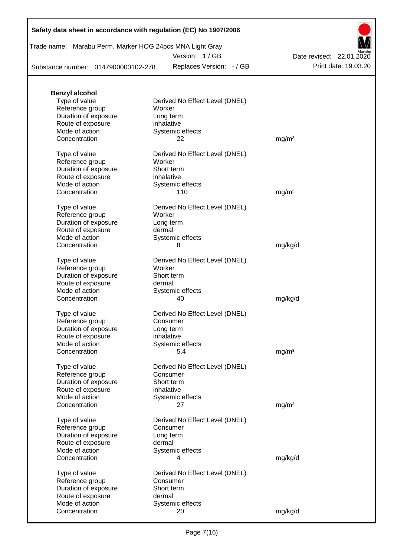## **Safety data sheet in accordance with regulation (EC) No 1907/2006**

Trade name: Marabu Perm. Marker HOG 24pcs MNA Light Gray

Version: 1 / GB

Substance number: 0147900000102-278

Replaces Version: - / GB Print date: 19.03.20 Date revised: 22.01.2020

| <b>Benzyl alcohol</b> |                                |                   |
|-----------------------|--------------------------------|-------------------|
| Type of value         | Derived No Effect Level (DNEL) |                   |
| Reference group       | Worker                         |                   |
| Duration of exposure  | Long term                      |                   |
| Route of exposure     | inhalative                     |                   |
| Mode of action        | Systemic effects               |                   |
| Concentration         | 22                             | mg/m <sup>3</sup> |
| Type of value         | Derived No Effect Level (DNEL) |                   |
| Reference group       | Worker                         |                   |
| Duration of exposure  | Short term                     |                   |
| Route of exposure     | inhalative                     |                   |
| Mode of action        | Systemic effects               |                   |
| Concentration         | 110                            | mg/m <sup>3</sup> |
| Type of value         | Derived No Effect Level (DNEL) |                   |
| Reference group       | Worker                         |                   |
| Duration of exposure  | Long term                      |                   |
| Route of exposure     | dermal                         |                   |
| Mode of action        | Systemic effects               |                   |
| Concentration         | 8                              | mg/kg/d           |
|                       |                                |                   |
| Type of value         | Derived No Effect Level (DNEL) |                   |
| Reference group       | Worker                         |                   |
| Duration of exposure  | Short term                     |                   |
| Route of exposure     | dermal                         |                   |
| Mode of action        | Systemic effects               |                   |
| Concentration         | 40                             | mg/kg/d           |
| Type of value         | Derived No Effect Level (DNEL) |                   |
| Reference group       | Consumer                       |                   |
| Duration of exposure  | Long term                      |                   |
| Route of exposure     | inhalative                     |                   |
| Mode of action        | Systemic effects               |                   |
| Concentration         | 5,4                            | mg/m <sup>3</sup> |
| Type of value         | Derived No Effect Level (DNEL) |                   |
| Reference group       | Consumer                       |                   |
| Duration of exposure  | Short term                     |                   |
| Route of exposure     | inhalative                     |                   |
| Mode of action        | Systemic effects               |                   |
| Concentration         | 27                             | mg/m <sup>3</sup> |
| Type of value         | Derived No Effect Level (DNEL) |                   |
| Reference group       | Consumer                       |                   |
| Duration of exposure  | Long term                      |                   |
| Route of exposure     | dermal                         |                   |
| Mode of action        | Systemic effects               |                   |
| Concentration         | 4                              | mg/kg/d           |
| Type of value         | Derived No Effect Level (DNEL) |                   |
| Reference group       | Consumer                       |                   |
| Duration of exposure  | Short term                     |                   |
| Route of exposure     | dermal                         |                   |
| Mode of action        |                                |                   |
|                       | Systemic effects               |                   |
| Concentration         | 20                             | mg/kg/d           |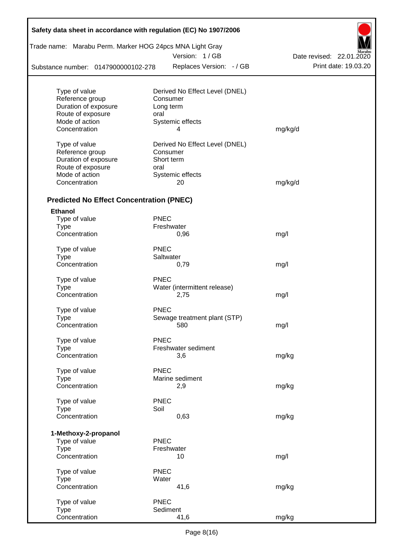| Safety data sheet in accordance with regulation (EC) No 1907/2006 |                                     |                          |
|-------------------------------------------------------------------|-------------------------------------|--------------------------|
| Trade name: Marabu Perm. Marker HOG 24pcs MNA Light Gray          |                                     |                          |
|                                                                   | Version: 1/GB                       | Date revised: 22.01.2020 |
| Substance number: 0147900000102-278                               | Replaces Version: - / GB            | Print date: 19.03.20     |
|                                                                   |                                     |                          |
| Type of value                                                     | Derived No Effect Level (DNEL)      |                          |
| Reference group                                                   | Consumer                            |                          |
| Duration of exposure<br>Route of exposure                         | Long term                           |                          |
| Mode of action                                                    | oral<br>Systemic effects            |                          |
| Concentration                                                     | 4                                   | mg/kg/d                  |
| Type of value                                                     | Derived No Effect Level (DNEL)      |                          |
| Reference group                                                   | Consumer                            |                          |
| Duration of exposure                                              | Short term                          |                          |
| Route of exposure                                                 | oral                                |                          |
| Mode of action                                                    | Systemic effects                    |                          |
| Concentration                                                     | 20                                  | mg/kg/d                  |
|                                                                   |                                     |                          |
| <b>Predicted No Effect Concentration (PNEC)</b>                   |                                     |                          |
| <b>Ethanol</b>                                                    |                                     |                          |
| Type of value                                                     | <b>PNEC</b>                         |                          |
| <b>Type</b>                                                       | Freshwater                          |                          |
| Concentration                                                     | 0,96                                | mg/l                     |
| Type of value                                                     | <b>PNEC</b>                         |                          |
| <b>Type</b>                                                       | Saltwater                           |                          |
| Concentration                                                     | 0,79                                | mg/l                     |
| Type of value                                                     | <b>PNEC</b>                         |                          |
| Type                                                              | Water (intermittent release)        |                          |
| Concentration                                                     | 2,75                                | mg/l                     |
|                                                                   | <b>PNEC</b>                         |                          |
| Type of value                                                     |                                     |                          |
| <b>Type</b><br>Concentration                                      | Sewage treatment plant (STP)<br>580 | mg/l                     |
|                                                                   |                                     |                          |
| Type of value                                                     | <b>PNEC</b>                         |                          |
| <b>Type</b>                                                       | Freshwater sediment                 |                          |
| Concentration                                                     | 3,6                                 | mg/kg                    |
|                                                                   |                                     |                          |
| Type of value                                                     | <b>PNEC</b>                         |                          |
| <b>Type</b>                                                       | Marine sediment                     |                          |
| Concentration                                                     | 2,9                                 | mg/kg                    |
| Type of value                                                     | <b>PNEC</b>                         |                          |
| <b>Type</b>                                                       | Soil                                |                          |
| Concentration                                                     | 0,63                                | mg/kg                    |
|                                                                   |                                     |                          |
| 1-Methoxy-2-propanol                                              |                                     |                          |
| Type of value                                                     | <b>PNEC</b>                         |                          |
| <b>Type</b><br>Concentration                                      | Freshwater<br>10                    | mg/l                     |
|                                                                   |                                     |                          |
| Type of value                                                     | <b>PNEC</b>                         |                          |
| <b>Type</b>                                                       | Water                               |                          |
| Concentration                                                     | 41,6                                | mg/kg                    |
| Type of value                                                     | <b>PNEC</b>                         |                          |
| Type                                                              | Sediment                            |                          |
| Concentration                                                     | 41,6                                | mg/kg                    |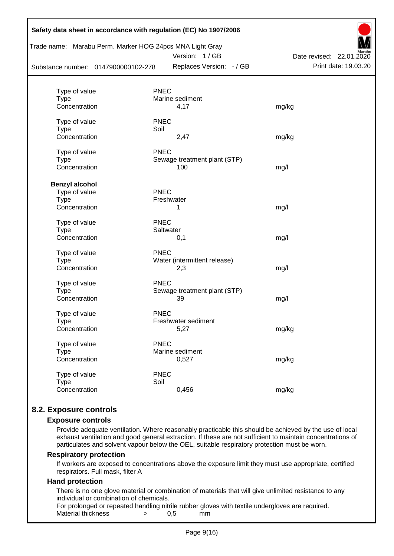| Substance number: 0147900000102-278 | Trade name: Marabu Perm. Marker HOG 24pcs MNA Light Gray<br>Version: 1/GB<br>Replaces Version: - / GB | Date revised: 22.01.2020<br>Print date: 19.03.20 |
|-------------------------------------|-------------------------------------------------------------------------------------------------------|--------------------------------------------------|
|                                     |                                                                                                       |                                                  |
| Type of value                       | <b>PNEC</b>                                                                                           |                                                  |
| <b>Type</b>                         | Marine sediment                                                                                       |                                                  |
| Concentration                       | 4,17                                                                                                  | mg/kg                                            |
| Type of value                       | <b>PNEC</b>                                                                                           |                                                  |
| <b>Type</b>                         | Soil                                                                                                  |                                                  |
| Concentration                       | 2,47                                                                                                  | mg/kg                                            |
| Type of value                       | <b>PNEC</b>                                                                                           |                                                  |
| <b>Type</b>                         | Sewage treatment plant (STP)                                                                          |                                                  |
| Concentration                       | 100                                                                                                   | mg/l                                             |
| <b>Benzyl alcohol</b>               |                                                                                                       |                                                  |
| Type of value                       | <b>PNEC</b>                                                                                           |                                                  |
| <b>Type</b>                         | Freshwater                                                                                            |                                                  |
| Concentration                       | 1                                                                                                     | mg/l                                             |
| Type of value                       | <b>PNEC</b>                                                                                           |                                                  |
| <b>Type</b>                         | Saltwater                                                                                             |                                                  |
| Concentration                       | 0,1                                                                                                   | mg/l                                             |
| Type of value                       | <b>PNEC</b>                                                                                           |                                                  |
| <b>Type</b>                         | Water (intermittent release)                                                                          |                                                  |
| Concentration                       | 2,3                                                                                                   | mg/l                                             |
| Type of value                       | <b>PNEC</b>                                                                                           |                                                  |
| <b>Type</b>                         | Sewage treatment plant (STP)                                                                          |                                                  |
| Concentration                       | 39                                                                                                    | mg/l                                             |
| Type of value                       | <b>PNEC</b>                                                                                           |                                                  |
| Type                                | Freshwater sediment                                                                                   |                                                  |
| Concentration                       | 5,27                                                                                                  | mg/kg                                            |
| Type of value                       | <b>PNEC</b>                                                                                           |                                                  |
| <b>Type</b>                         | Marine sediment                                                                                       |                                                  |
| Concentration                       | 0,527                                                                                                 | mg/kg                                            |
| Type of value                       | <b>PNEC</b>                                                                                           |                                                  |
| <b>Type</b>                         | Soil                                                                                                  |                                                  |
| Concentration                       | 0,456                                                                                                 | mg/kg                                            |

## **8.2. Exposure controls**

#### **Exposure controls**

Provide adequate ventilation. Where reasonably practicable this should be achieved by the use of local exhaust ventilation and good general extraction. If these are not sufficient to maintain concentrations of particulates and solvent vapour below the OEL, suitable respiratory protection must be worn.

#### **Respiratory protection**

If workers are exposed to concentrations above the exposure limit they must use appropriate, certified respirators. Full mask, filter A

#### **Hand protection**

There is no one glove material or combination of materials that will give unlimited resistance to any individual or combination of chemicals.

For prolonged or repeated handling nitrile rubber gloves with textile undergloves are required. Material thickness  $\rightarrow$  0.5 mm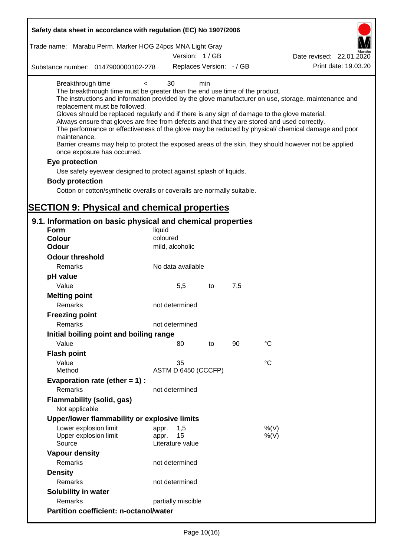| Safety data sheet in accordance with regulation (EC) No 1907/2006                                                                                                                                                                                                                                                                                                                            |                                                 |     |     |                                                                                                                                                                                                                                                                                                                    |
|----------------------------------------------------------------------------------------------------------------------------------------------------------------------------------------------------------------------------------------------------------------------------------------------------------------------------------------------------------------------------------------------|-------------------------------------------------|-----|-----|--------------------------------------------------------------------------------------------------------------------------------------------------------------------------------------------------------------------------------------------------------------------------------------------------------------------|
| Trade name: Marabu Perm. Marker HOG 24pcs MNA Light Gray                                                                                                                                                                                                                                                                                                                                     | Version: 1/GB                                   |     |     |                                                                                                                                                                                                                                                                                                                    |
|                                                                                                                                                                                                                                                                                                                                                                                              |                                                 |     |     | Date revised: 22.01.2020                                                                                                                                                                                                                                                                                           |
| Substance number: 0147900000102-278                                                                                                                                                                                                                                                                                                                                                          | Replaces Version: - / GB                        |     |     | Print date: 19.03.20                                                                                                                                                                                                                                                                                               |
| Breakthrough time<br>$\,<\,$<br>The breakthrough time must be greater than the end use time of the product.<br>replacement must be followed.<br>Gloves should be replaced regularly and if there is any sign of damage to the glove material.<br>Always ensure that gloves are free from defects and that they are stored and used correctly.<br>maintenance.<br>once exposure has occurred. | 30                                              | min |     | The instructions and information provided by the glove manufacturer on use, storage, maintenance and<br>The performance or effectiveness of the glove may be reduced by physical/ chemical damage and poor<br>Barrier creams may help to protect the exposed areas of the skin, they should however not be applied |
| Eye protection                                                                                                                                                                                                                                                                                                                                                                               |                                                 |     |     |                                                                                                                                                                                                                                                                                                                    |
| Use safety eyewear designed to protect against splash of liquids.                                                                                                                                                                                                                                                                                                                            |                                                 |     |     |                                                                                                                                                                                                                                                                                                                    |
| <b>Body protection</b>                                                                                                                                                                                                                                                                                                                                                                       |                                                 |     |     |                                                                                                                                                                                                                                                                                                                    |
| Cotton or cotton/synthetic overalls or coveralls are normally suitable.                                                                                                                                                                                                                                                                                                                      |                                                 |     |     |                                                                                                                                                                                                                                                                                                                    |
|                                                                                                                                                                                                                                                                                                                                                                                              |                                                 |     |     |                                                                                                                                                                                                                                                                                                                    |
| <b>SECTION 9: Physical and chemical properties</b>                                                                                                                                                                                                                                                                                                                                           |                                                 |     |     |                                                                                                                                                                                                                                                                                                                    |
| 9.1. Information on basic physical and chemical properties                                                                                                                                                                                                                                                                                                                                   |                                                 |     |     |                                                                                                                                                                                                                                                                                                                    |
| <b>Form</b>                                                                                                                                                                                                                                                                                                                                                                                  | liquid                                          |     |     |                                                                                                                                                                                                                                                                                                                    |
| <b>Colour</b>                                                                                                                                                                                                                                                                                                                                                                                | coloured                                        |     |     |                                                                                                                                                                                                                                                                                                                    |
| <b>Odour</b>                                                                                                                                                                                                                                                                                                                                                                                 | mild, alcoholic                                 |     |     |                                                                                                                                                                                                                                                                                                                    |
| <b>Odour threshold</b>                                                                                                                                                                                                                                                                                                                                                                       |                                                 |     |     |                                                                                                                                                                                                                                                                                                                    |
| Remarks                                                                                                                                                                                                                                                                                                                                                                                      | No data available                               |     |     |                                                                                                                                                                                                                                                                                                                    |
| pH value                                                                                                                                                                                                                                                                                                                                                                                     |                                                 |     |     |                                                                                                                                                                                                                                                                                                                    |
| Value                                                                                                                                                                                                                                                                                                                                                                                        | 5,5                                             | to  | 7,5 |                                                                                                                                                                                                                                                                                                                    |
| <b>Melting point</b><br>Remarks                                                                                                                                                                                                                                                                                                                                                              | not determined                                  |     |     |                                                                                                                                                                                                                                                                                                                    |
| <b>Freezing point</b>                                                                                                                                                                                                                                                                                                                                                                        |                                                 |     |     |                                                                                                                                                                                                                                                                                                                    |
| Remarks                                                                                                                                                                                                                                                                                                                                                                                      | not determined                                  |     |     |                                                                                                                                                                                                                                                                                                                    |
| Initial boiling point and boiling range                                                                                                                                                                                                                                                                                                                                                      |                                                 |     |     |                                                                                                                                                                                                                                                                                                                    |
| Value                                                                                                                                                                                                                                                                                                                                                                                        | 80                                              | to  | 90  | $^{\circ}C$                                                                                                                                                                                                                                                                                                        |
| <b>Flash point</b>                                                                                                                                                                                                                                                                                                                                                                           |                                                 |     |     |                                                                                                                                                                                                                                                                                                                    |
| Value                                                                                                                                                                                                                                                                                                                                                                                        | 35                                              |     |     | $^{\circ}C$                                                                                                                                                                                                                                                                                                        |
| Method                                                                                                                                                                                                                                                                                                                                                                                       | ASTM D 6450 (CCCFP)                             |     |     |                                                                                                                                                                                                                                                                                                                    |
| Evaporation rate (ether $= 1$ ):<br>Remarks                                                                                                                                                                                                                                                                                                                                                  | not determined                                  |     |     |                                                                                                                                                                                                                                                                                                                    |
| <b>Flammability (solid, gas)</b><br>Not applicable                                                                                                                                                                                                                                                                                                                                           |                                                 |     |     |                                                                                                                                                                                                                                                                                                                    |
| Upper/lower flammability or explosive limits                                                                                                                                                                                                                                                                                                                                                 |                                                 |     |     |                                                                                                                                                                                                                                                                                                                    |
| Lower explosion limit<br>Upper explosion limit<br>Source                                                                                                                                                                                                                                                                                                                                     | 1,5<br>appr.<br>15<br>appr.<br>Literature value |     |     | %(V)<br>%(V)                                                                                                                                                                                                                                                                                                       |
| <b>Vapour density</b>                                                                                                                                                                                                                                                                                                                                                                        |                                                 |     |     |                                                                                                                                                                                                                                                                                                                    |
| Remarks                                                                                                                                                                                                                                                                                                                                                                                      | not determined                                  |     |     |                                                                                                                                                                                                                                                                                                                    |
| <b>Density</b>                                                                                                                                                                                                                                                                                                                                                                               |                                                 |     |     |                                                                                                                                                                                                                                                                                                                    |
| Remarks                                                                                                                                                                                                                                                                                                                                                                                      | not determined                                  |     |     |                                                                                                                                                                                                                                                                                                                    |
| Solubility in water                                                                                                                                                                                                                                                                                                                                                                          |                                                 |     |     |                                                                                                                                                                                                                                                                                                                    |
| Remarks                                                                                                                                                                                                                                                                                                                                                                                      | partially miscible                              |     |     |                                                                                                                                                                                                                                                                                                                    |
| <b>Partition coefficient: n-octanol/water</b>                                                                                                                                                                                                                                                                                                                                                |                                                 |     |     |                                                                                                                                                                                                                                                                                                                    |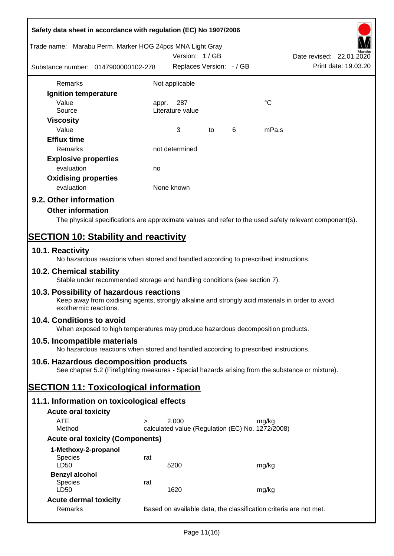| Safety data sheet in accordance with regulation (EC) No 1907/2006                                                                                                     |        |                                                  |    |   |             |                                                                   |
|-----------------------------------------------------------------------------------------------------------------------------------------------------------------------|--------|--------------------------------------------------|----|---|-------------|-------------------------------------------------------------------|
| Trade name: Marabu Perm. Marker HOG 24pcs MNA Light Gray                                                                                                              |        | Version: 1/GB                                    |    |   |             | Date revised: 22.01.2020                                          |
| Substance number: 0147900000102-278                                                                                                                                   |        | Replaces Version: - / GB                         |    |   |             | Print date: 19.03.20                                              |
| Remarks                                                                                                                                                               |        | Not applicable                                   |    |   |             |                                                                   |
| Ignition temperature                                                                                                                                                  |        |                                                  |    |   |             |                                                                   |
| Value                                                                                                                                                                 | appr.  | 287                                              |    |   | $^{\circ}C$ |                                                                   |
| Source                                                                                                                                                                |        | Literature value                                 |    |   |             |                                                                   |
| <b>Viscosity</b>                                                                                                                                                      |        |                                                  |    |   |             |                                                                   |
| Value                                                                                                                                                                 |        | 3                                                | to | 6 | mPa.s       |                                                                   |
| <b>Efflux time</b>                                                                                                                                                    |        |                                                  |    |   |             |                                                                   |
| Remarks                                                                                                                                                               |        | not determined                                   |    |   |             |                                                                   |
| <b>Explosive properties</b>                                                                                                                                           |        |                                                  |    |   |             |                                                                   |
| evaluation                                                                                                                                                            | no     |                                                  |    |   |             |                                                                   |
| <b>Oxidising properties</b>                                                                                                                                           |        |                                                  |    |   |             |                                                                   |
| evaluation                                                                                                                                                            |        | None known                                       |    |   |             |                                                                   |
| 9.2. Other information                                                                                                                                                |        |                                                  |    |   |             |                                                                   |
| <b>Other information</b>                                                                                                                                              |        |                                                  |    |   |             |                                                                   |
| The physical specifications are approximate values and refer to the used safety relevant component(s).                                                                |        |                                                  |    |   |             |                                                                   |
| <b>SECTION 10: Stability and reactivity</b>                                                                                                                           |        |                                                  |    |   |             |                                                                   |
| 10.1. Reactivity                                                                                                                                                      |        |                                                  |    |   |             |                                                                   |
| No hazardous reactions when stored and handled according to prescribed instructions.                                                                                  |        |                                                  |    |   |             |                                                                   |
| 10.2. Chemical stability<br>Stable under recommended storage and handling conditions (see section 7).                                                                 |        |                                                  |    |   |             |                                                                   |
| 10.3. Possibility of hazardous reactions<br>Keep away from oxidising agents, strongly alkaline and strongly acid materials in order to avoid<br>exothermic reactions. |        |                                                  |    |   |             |                                                                   |
| 10.4. Conditions to avoid<br>When exposed to high temperatures may produce hazardous decomposition products.                                                          |        |                                                  |    |   |             |                                                                   |
| 10.5. Incompatible materials<br>No hazardous reactions when stored and handled according to prescribed instructions.                                                  |        |                                                  |    |   |             |                                                                   |
| 10.6. Hazardous decomposition products                                                                                                                                |        |                                                  |    |   |             |                                                                   |
| See chapter 5.2 (Firefighting measures - Special hazards arising from the substance or mixture).                                                                      |        |                                                  |    |   |             |                                                                   |
| <b>SECTION 11: Toxicological information</b>                                                                                                                          |        |                                                  |    |   |             |                                                                   |
| 11.1. Information on toxicological effects                                                                                                                            |        |                                                  |    |   |             |                                                                   |
| <b>Acute oral toxicity</b>                                                                                                                                            |        |                                                  |    |   |             |                                                                   |
| <b>ATE</b>                                                                                                                                                            | $\geq$ | 2.000                                            |    |   | mg/kg       |                                                                   |
| Method                                                                                                                                                                |        | calculated value (Regulation (EC) No. 1272/2008) |    |   |             |                                                                   |
| <b>Acute oral toxicity (Components)</b>                                                                                                                               |        |                                                  |    |   |             |                                                                   |
| 1-Methoxy-2-propanol                                                                                                                                                  |        |                                                  |    |   |             |                                                                   |
| Species                                                                                                                                                               | rat    |                                                  |    |   |             |                                                                   |
| LD50                                                                                                                                                                  |        | 5200                                             |    |   | mg/kg       |                                                                   |
| <b>Benzyl alcohol</b><br><b>Species</b>                                                                                                                               | rat    |                                                  |    |   |             |                                                                   |
| LD50                                                                                                                                                                  |        | 1620                                             |    |   | mg/kg       |                                                                   |
| <b>Acute dermal toxicity</b>                                                                                                                                          |        |                                                  |    |   |             |                                                                   |
| Remarks                                                                                                                                                               |        |                                                  |    |   |             | Based on available data, the classification criteria are not met. |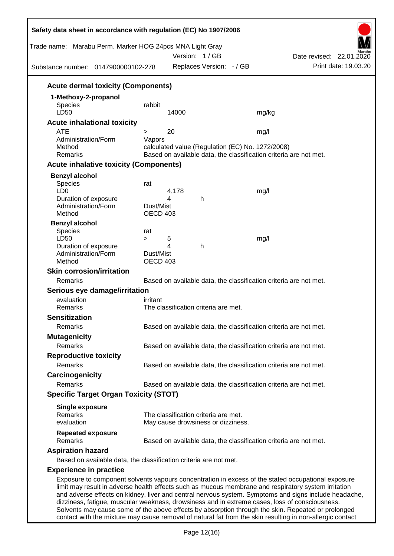| Trade name: Marabu Perm. Marker HOG 24pcs MNA Light Gray<br>Substance number: 0147900000102-278      |                              |       | Version: 1/GB<br>Replaces Version: - / GB |                                                  | Date revised: 22.01.2020<br>Print date: 19.03.20                                                                                                                                                            |
|------------------------------------------------------------------------------------------------------|------------------------------|-------|-------------------------------------------|--------------------------------------------------|-------------------------------------------------------------------------------------------------------------------------------------------------------------------------------------------------------------|
| <b>Acute dermal toxicity (Components)</b>                                                            |                              |       |                                           |                                                  |                                                                                                                                                                                                             |
| 1-Methoxy-2-propanol                                                                                 |                              |       |                                           |                                                  |                                                                                                                                                                                                             |
| Species                                                                                              | rabbit                       |       |                                           |                                                  |                                                                                                                                                                                                             |
| LD50                                                                                                 |                              | 14000 |                                           | mg/kg                                            |                                                                                                                                                                                                             |
| <b>Acute inhalational toxicity</b>                                                                   |                              |       |                                           |                                                  |                                                                                                                                                                                                             |
| <b>ATE</b>                                                                                           | >                            | 20    |                                           | mg/l                                             |                                                                                                                                                                                                             |
| Administration/Form<br>Method                                                                        | Vapors                       |       |                                           | calculated value (Regulation (EC) No. 1272/2008) |                                                                                                                                                                                                             |
| Remarks                                                                                              |                              |       |                                           |                                                  | Based on available data, the classification criteria are not met.                                                                                                                                           |
| <b>Acute inhalative toxicity (Components)</b>                                                        |                              |       |                                           |                                                  |                                                                                                                                                                                                             |
| <b>Benzyl alcohol</b>                                                                                |                              |       |                                           |                                                  |                                                                                                                                                                                                             |
| Species                                                                                              | rat                          |       |                                           |                                                  |                                                                                                                                                                                                             |
| LD <sub>0</sub>                                                                                      |                              | 4,178 |                                           | mg/l                                             |                                                                                                                                                                                                             |
| Duration of exposure                                                                                 |                              | 4     | h                                         |                                                  |                                                                                                                                                                                                             |
| Administration/Form<br>Method                                                                        | Dust/Mist<br><b>OECD 403</b> |       |                                           |                                                  |                                                                                                                                                                                                             |
| <b>Benzyl alcohol</b>                                                                                |                              |       |                                           |                                                  |                                                                                                                                                                                                             |
| Species                                                                                              | rat                          |       |                                           |                                                  |                                                                                                                                                                                                             |
| LD50                                                                                                 | $\geq$                       | 5     |                                           | mg/l                                             |                                                                                                                                                                                                             |
| Duration of exposure                                                                                 |                              | 4     | h                                         |                                                  |                                                                                                                                                                                                             |
| Administration/Form<br>Method                                                                        | Dust/Mist<br><b>OECD 403</b> |       |                                           |                                                  |                                                                                                                                                                                                             |
| <b>Skin corrosion/irritation</b>                                                                     |                              |       |                                           |                                                  |                                                                                                                                                                                                             |
| Remarks                                                                                              |                              |       |                                           |                                                  | Based on available data, the classification criteria are not met.                                                                                                                                           |
| Serious eye damage/irritation                                                                        |                              |       |                                           |                                                  |                                                                                                                                                                                                             |
| evaluation                                                                                           | irritant                     |       |                                           |                                                  |                                                                                                                                                                                                             |
| Remarks                                                                                              |                              |       | The classification criteria are met.      |                                                  |                                                                                                                                                                                                             |
| <b>Sensitization</b>                                                                                 |                              |       |                                           |                                                  |                                                                                                                                                                                                             |
| Remarks                                                                                              |                              |       |                                           |                                                  | Based on available data, the classification criteria are not met.                                                                                                                                           |
| <b>Mutagenicity</b>                                                                                  |                              |       |                                           |                                                  |                                                                                                                                                                                                             |
| Remarks                                                                                              |                              |       |                                           |                                                  | Based on available data, the classification criteria are not met.                                                                                                                                           |
| <b>Reproductive toxicity</b>                                                                         |                              |       |                                           |                                                  |                                                                                                                                                                                                             |
| Remarks                                                                                              |                              |       |                                           |                                                  | Based on available data, the classification criteria are not met.                                                                                                                                           |
| <b>Carcinogenicity</b>                                                                               |                              |       |                                           |                                                  |                                                                                                                                                                                                             |
| Remarks                                                                                              |                              |       |                                           |                                                  | Based on available data, the classification criteria are not met.                                                                                                                                           |
| <b>Specific Target Organ Toxicity (STOT)</b>                                                         |                              |       |                                           |                                                  |                                                                                                                                                                                                             |
| <b>Single exposure</b>                                                                               |                              |       |                                           |                                                  |                                                                                                                                                                                                             |
| Remarks                                                                                              |                              |       | The classification criteria are met.      |                                                  |                                                                                                                                                                                                             |
| evaluation                                                                                           |                              |       | May cause drowsiness or dizziness.        |                                                  |                                                                                                                                                                                                             |
| <b>Repeated exposure</b><br>Remarks                                                                  |                              |       |                                           |                                                  | Based on available data, the classification criteria are not met.                                                                                                                                           |
| <b>Aspiration hazard</b>                                                                             |                              |       |                                           |                                                  |                                                                                                                                                                                                             |
| Based on available data, the classification criteria are not met.                                    |                              |       |                                           |                                                  |                                                                                                                                                                                                             |
| <b>Experience in practice</b>                                                                        |                              |       |                                           |                                                  |                                                                                                                                                                                                             |
| limit may result in adverse health effects such as mucous membrane and respiratory system irritation |                              |       |                                           |                                                  | Exposure to component solvents vapours concentration in excess of the stated occupational exposure<br>and adverse effects on kidney, liver and central nervous system. Symptoms and signs include headache, |

dizziness, fatigue, muscular weakness, drowsiness and in extreme cases, loss of consciousness. Solvents may cause some of the above effects by absorption through the skin. Repeated or prolonged contact with the mixture may cause removal of natural fat from the skin resulting in non-allergic contact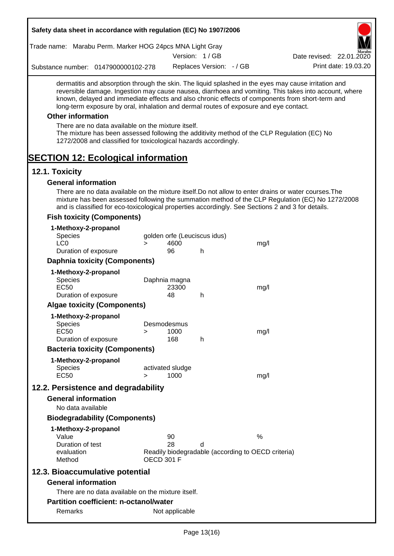|                               |                            | Safety data sheet in accordance with regulation (EC) No 1907/2006                                                     |                   |                          |                              |                                                                                                   |                                                                                                                                                                                                                                                                                                                  |
|-------------------------------|----------------------------|-----------------------------------------------------------------------------------------------------------------------|-------------------|--------------------------|------------------------------|---------------------------------------------------------------------------------------------------|------------------------------------------------------------------------------------------------------------------------------------------------------------------------------------------------------------------------------------------------------------------------------------------------------------------|
|                               |                            | Trade name: Marabu Perm. Marker HOG 24pcs MNA Light Gray                                                              |                   |                          |                              |                                                                                                   |                                                                                                                                                                                                                                                                                                                  |
|                               |                            |                                                                                                                       |                   |                          | Version: 1/GB                |                                                                                                   | Date revised: 22.01.2020                                                                                                                                                                                                                                                                                         |
|                               |                            | Substance number: 0147900000102-278                                                                                   |                   |                          | Replaces Version: - / GB     |                                                                                                   | Print date: 19.03.20                                                                                                                                                                                                                                                                                             |
|                               |                            |                                                                                                                       |                   |                          |                              | long-term exposure by oral, inhalation and dermal routes of exposure and eye contact.             | dermatitis and absorption through the skin. The liquid splashed in the eyes may cause irritation and<br>reversible damage. Ingestion may cause nausea, diarrhoea and vomiting. This takes into account, where<br>known, delayed and immediate effects and also chronic effects of components from short-term and |
|                               | <b>Other information</b>   |                                                                                                                       |                   |                          |                              |                                                                                                   |                                                                                                                                                                                                                                                                                                                  |
|                               |                            | There are no data available on the mixture itself.<br>1272/2008 and classified for toxicological hazards accordingly. |                   |                          |                              |                                                                                                   | The mixture has been assessed following the additivity method of the CLP Regulation (EC) No                                                                                                                                                                                                                      |
| 12.1. Toxicity                |                            | <b>SECTION 12: Ecological information</b>                                                                             |                   |                          |                              |                                                                                                   |                                                                                                                                                                                                                                                                                                                  |
|                               | <b>General information</b> |                                                                                                                       |                   |                          |                              |                                                                                                   |                                                                                                                                                                                                                                                                                                                  |
|                               |                            |                                                                                                                       |                   |                          |                              | and is classified for eco-toxicological properties accordingly. See Sections 2 and 3 for details. | There are no data available on the mixture itself. Do not allow to enter drains or water courses. The<br>mixture has been assessed following the summation method of the CLP Regulation (EC) No 1272/2008                                                                                                        |
|                               |                            | <b>Fish toxicity (Components)</b>                                                                                     |                   |                          |                              |                                                                                                   |                                                                                                                                                                                                                                                                                                                  |
|                               |                            | 1-Methoxy-2-propanol                                                                                                  |                   |                          |                              |                                                                                                   |                                                                                                                                                                                                                                                                                                                  |
| <b>Species</b>                |                            |                                                                                                                       |                   |                          | golden orfe (Leuciscus idus) |                                                                                                   |                                                                                                                                                                                                                                                                                                                  |
| LC <sub>0</sub>               |                            |                                                                                                                       | $\geq$            | 4600                     |                              | mg/l                                                                                              |                                                                                                                                                                                                                                                                                                                  |
|                               |                            | Duration of exposure                                                                                                  |                   | 96                       | h                            |                                                                                                   |                                                                                                                                                                                                                                                                                                                  |
|                               |                            | <b>Daphnia toxicity (Components)</b>                                                                                  |                   |                          |                              |                                                                                                   |                                                                                                                                                                                                                                                                                                                  |
| <b>Species</b><br><b>EC50</b> |                            | 1-Methoxy-2-propanol                                                                                                  |                   | Daphnia magna<br>23300   |                              | mg/l                                                                                              |                                                                                                                                                                                                                                                                                                                  |
|                               |                            | Duration of exposure                                                                                                  |                   | 48                       | h                            |                                                                                                   |                                                                                                                                                                                                                                                                                                                  |
|                               |                            | <b>Algae toxicity (Components)</b>                                                                                    |                   |                          |                              |                                                                                                   |                                                                                                                                                                                                                                                                                                                  |
|                               |                            | 1-Methoxy-2-propanol                                                                                                  |                   | Desmodesmus              |                              |                                                                                                   |                                                                                                                                                                                                                                                                                                                  |
| Species<br>EC50               |                            |                                                                                                                       | >                 | 1000                     |                              | mg/l                                                                                              |                                                                                                                                                                                                                                                                                                                  |
|                               |                            | Duration of exposure                                                                                                  |                   | 168                      | h                            |                                                                                                   |                                                                                                                                                                                                                                                                                                                  |
|                               |                            | <b>Bacteria toxicity (Components)</b>                                                                                 |                   |                          |                              |                                                                                                   |                                                                                                                                                                                                                                                                                                                  |
|                               |                            | 1-Methoxy-2-propanol                                                                                                  |                   |                          |                              |                                                                                                   |                                                                                                                                                                                                                                                                                                                  |
| <b>Species</b><br><b>EC50</b> |                            |                                                                                                                       | $\geq$            | activated sludge<br>1000 |                              |                                                                                                   |                                                                                                                                                                                                                                                                                                                  |
|                               |                            |                                                                                                                       |                   |                          |                              | mg/l                                                                                              |                                                                                                                                                                                                                                                                                                                  |
|                               |                            | 12.2. Persistence and degradability                                                                                   |                   |                          |                              |                                                                                                   |                                                                                                                                                                                                                                                                                                                  |
|                               | <b>General information</b> |                                                                                                                       |                   |                          |                              |                                                                                                   |                                                                                                                                                                                                                                                                                                                  |
|                               | No data available          |                                                                                                                       |                   |                          |                              |                                                                                                   |                                                                                                                                                                                                                                                                                                                  |
|                               |                            | <b>Biodegradability (Components)</b>                                                                                  |                   |                          |                              |                                                                                                   |                                                                                                                                                                                                                                                                                                                  |
|                               |                            | 1-Methoxy-2-propanol                                                                                                  |                   |                          |                              |                                                                                                   |                                                                                                                                                                                                                                                                                                                  |
| Value                         | Duration of test           |                                                                                                                       |                   | 90<br>28                 | d                            | $\%$                                                                                              |                                                                                                                                                                                                                                                                                                                  |
| Method                        | evaluation                 |                                                                                                                       | <b>OECD 301 F</b> |                          |                              | Readily biodegradable (according to OECD criteria)                                                |                                                                                                                                                                                                                                                                                                                  |
|                               |                            | 12.3. Bioaccumulative potential                                                                                       |                   |                          |                              |                                                                                                   |                                                                                                                                                                                                                                                                                                                  |
|                               | <b>General information</b> |                                                                                                                       |                   |                          |                              |                                                                                                   |                                                                                                                                                                                                                                                                                                                  |
|                               |                            | There are no data available on the mixture itself.                                                                    |                   |                          |                              |                                                                                                   |                                                                                                                                                                                                                                                                                                                  |
|                               |                            | <b>Partition coefficient: n-octanol/water</b>                                                                         |                   |                          |                              |                                                                                                   |                                                                                                                                                                                                                                                                                                                  |
|                               | Remarks                    |                                                                                                                       |                   | Not applicable           |                              |                                                                                                   |                                                                                                                                                                                                                                                                                                                  |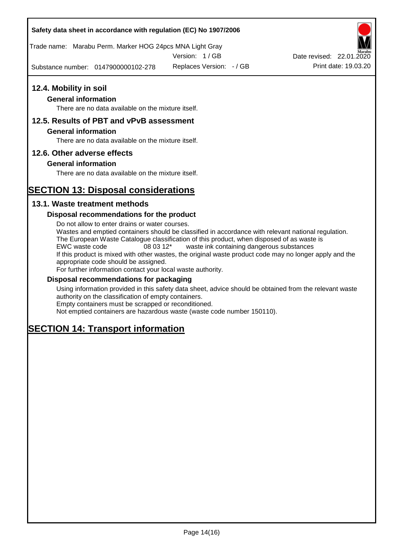## **Safety data sheet in accordance with regulation (EC) No 1907/2006**

Trade name: Marabu Perm. Marker HOG 24pcs MNA Light Gray

Version: 1 / GB

Substance number: 0147900000102-278

## **12.4. Mobility in soil**

## **General information**

There are no data available on the mixture itself.

## **12.5. Results of PBT and vPvB assessment**

### **General information**

There are no data available on the mixture itself.

## **12.6. Other adverse effects**

## **General information**

There are no data available on the mixture itself.

# **SECTION 13: Disposal considerations**

## **13.1. Waste treatment methods**

### **Disposal recommendations for the product**

Do not allow to enter drains or water courses. Wastes and emptied containers should be classified in accordance with relevant national regulation. The European Waste Catalogue classification of this product, when disposed of as waste is EWC waste code 08 03 12\* waste ink containing dangerous substances If this product is mixed with other wastes, the original waste product code may no longer apply and the appropriate code should be assigned. For further information contact your local waste authority.

## **Disposal recommendations for packaging**

Using information provided in this safety data sheet, advice should be obtained from the relevant waste authority on the classification of empty containers. Empty containers must be scrapped or reconditioned.

Not emptied containers are hazardous waste (waste code number 150110).

# **SECTION 14: Transport information**



Replaces Version:  $-$  / GB Print date: 19.03.20 Date revised: 22.01.2020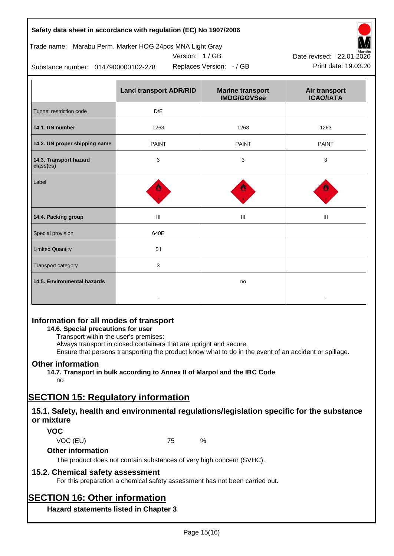## **Safety data sheet in accordance with regulation (EC) No 1907/2006**

## Trade name: Marabu Perm. Marker HOG 24pcs MNA Light Gray

Version: 1 / GB



Replaces Version:  $-$  / GB Print date: 19.03.20 Date revised: 22.01.2020

Substance number: 0147900000102-278

|                                     | <b>Land transport ADR/RID</b> | <b>Marine transport</b><br><b>IMDG/GGVSee</b> | Air transport<br><b>ICAO/IATA</b> |
|-------------------------------------|-------------------------------|-----------------------------------------------|-----------------------------------|
| Tunnel restriction code             | D/E                           |                                               |                                   |
| 14.1. UN number                     | 1263                          | 1263                                          | 1263                              |
| 14.2. UN proper shipping name       | <b>PAINT</b>                  | <b>PAINT</b>                                  | <b>PAINT</b>                      |
| 14.3. Transport hazard<br>class(es) | 3                             | 3                                             | 3                                 |
| Label                               |                               |                                               |                                   |
| 14.4. Packing group                 | III                           | III                                           | Ш                                 |
| Special provision                   | 640E                          |                                               |                                   |
| <b>Limited Quantity</b>             | 51                            |                                               |                                   |
| Transport category                  | 3                             |                                               |                                   |
| 14.5. Environmental hazards         |                               | no                                            |                                   |

## **Information for all modes of transport**

**14.6. Special precautions for user**

Transport within the user's premises:

Always transport in closed containers that are upright and secure.

Ensure that persons transporting the product know what to do in the event of an accident or spillage.

## **Other information**

**14.7. Transport in bulk according to Annex II of Marpol and the IBC Code** no

# **SECTION 15: Regulatory information**

## **15.1. Safety, health and environmental regulations/legislation specific for the substance or mixture**

## **VOC**

VOC (EU) 75 %

**Other information**

The product does not contain substances of very high concern (SVHC).

## **15.2. Chemical safety assessment**

For this preparation a chemical safety assessment has not been carried out.

# **SECTION 16: Other information**

**Hazard statements listed in Chapter 3**